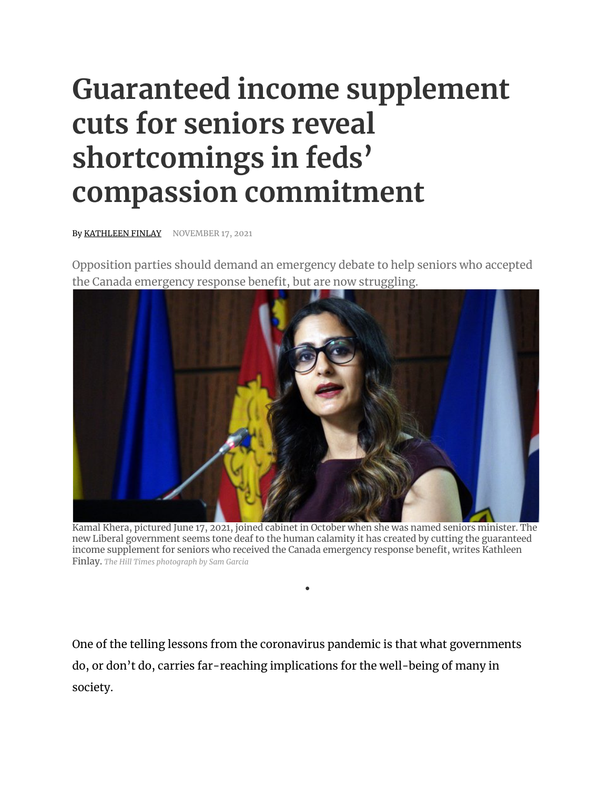## **Guaranteed income supplement cuts for seniors reveal shortcomings in feds' compassion commitment**

By KATHLEEN FINLAY NOVEMBER 17, 2021

Opposition parties should demand an emergency debate to help seniors who accepted the Canada emergency response benefit, but are now struggling.



Kamal Khera, pictured June 17, 2021, joined cabinet in October when she was named seniors minister. The new Liberal government seems tone deaf to the human calamity it has created by cutting the guaranteed income supplement for seniors who received the Canada emergency response benefit, writes Kathleen Finlay. *The Hill Times photograph by Sam Garcia*

•

One of the telling lessons from the coronavirus pandemic is that what governments do, or don't do, carries far-reaching implications for the well-being of many in society.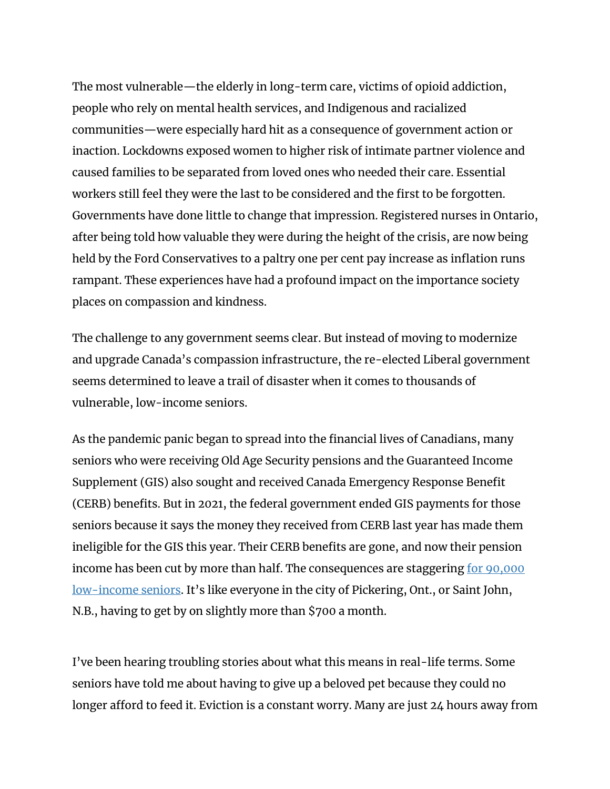The most vulnerable—the elderly in long-term care, victims of opioid addiction, people who rely on mental health services, and Indigenous and racialized communities—were especially hard hit as a consequence of government action or inaction. Lockdowns exposed women to higher risk of intimate partner violence and caused families to be separated from loved ones who needed their care. Essential workers still feel they were the last to be considered and the first to be forgotten. Governments have done little to change that impression. Registered nurses in Ontario, after being told how valuable they were during the height of the crisis, are now being held by the Ford Conservatives to a paltry one per cent pay increase as inflation runs rampant. These experiences have had a profound impact on the importance society places on compassion and kindness.

The challenge to any government seems clear. But instead of moving to modernize and upgrade Canada's compassion infrastructure, the re-elected Liberal government seems determined to leave a trail of disaster when it comes to thousands of vulnerable, low-income seniors.

As the pandemic panic began to spread into the financial lives of Canadians, many seniors who were receiving Old Age Security pensions and the Guaranteed Income Supplement (GIS) also sought and received Canada Emergency Response Benefit (CERB) benefits. But in 2021, the federal government ended GIS payments for those seniors because it says the money they received from CERB last year has made them ineligible for the GIS this year. Their CERB benefits are gone, and now their pension income has been cut by more than half. The consequences are staggering <u>for 90,000</u> low-income seniors. It's like everyone in the city of Pickering, Ont., or Saint John, N.B., having to get by on slightly more than \$700 a month.

I've been hearing troubling stories about what this means in real-life terms. Some seniors have told me about having to give up a beloved pet because they could no longer afford to feed it. Eviction is a constant worry. Many are just 24 hours away from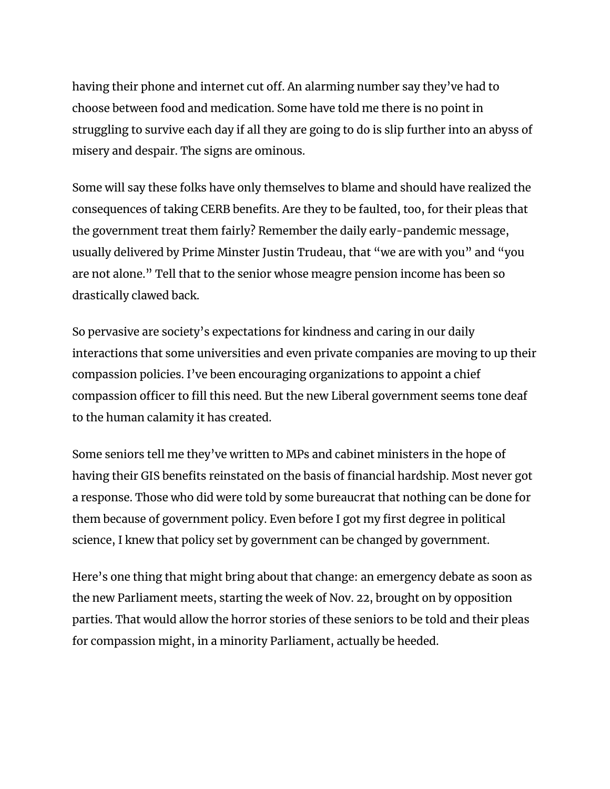having their phone and internet cut off. An alarming number say they've had to choose between food and medication. Some have told me there is no point in struggling to survive each day if all they are going to do is slip further into an abyss of misery and despair. The signs are ominous.

Some will say these folks have only themselves to blame and should have realized the consequences of taking CERB benefits. Are they to be faulted, too, for their pleas that the government treat them fairly? Remember the daily early-pandemic message, usually delivered by Prime Minster Justin Trudeau, that "we are with you" and "you are not alone." Tell that to the senior whose meagre pension income has been so drastically clawed back.

So pervasive are society's expectations for kindness and caring in our daily interactions that some universities and even private companies are moving to up their compassion policies. I've been encouraging organizations to appoint a chief compassion officer to fill this need. But the new Liberal government seems tone deaf to the human calamity it has created.

Some seniors tell me they've written to MPs and cabinet ministers in the hope of having their GIS benefits reinstated on the basis of financial hardship. Most never got a response. Those who did were told by some bureaucrat that nothing can be done for them because of government policy. Even before I got my first degree in political science, I knew that policy set by government can be changed by government.

Here's one thing that might bring about that change: an emergency debate as soon as the new Parliament meets, starting the week of Nov. 22, brought on by opposition parties. That would allow the horror stories of these seniors to be told and their pleas for compassion might, in a minority Parliament, actually be heeded.